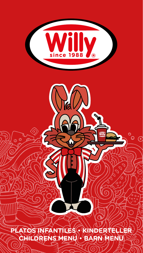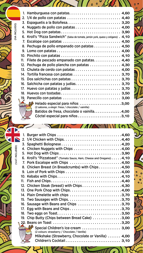|                 | 1. Hamburguesa con patatas 4,60                                                  |  |
|-----------------|----------------------------------------------------------------------------------|--|
|                 | 2. 1/4 de pollo con patatas  4,40                                                |  |
|                 |                                                                                  |  |
|                 | 4. Nuggets de pollo con patatas 4,00                                             |  |
|                 |                                                                                  |  |
|                 | 6. Kroll's "Pizza Sandwich" (Salsa de tomate, jamón york, queso y orégano). 4,10 |  |
|                 | 7. Escalope con patatas  4,50                                                    |  |
|                 | 8. Pechuga de pollo empanado con patatas 4,50                                    |  |
|                 |                                                                                  |  |
|                 |                                                                                  |  |
| 11 <sub>1</sub> | Filete de pescado empanado con patatas 4,40                                      |  |
|                 | 12. Pechuga de pollo plancha con patatas  4,30                                   |  |
|                 | 13. Chuleta de cerdo con patatas  4,00                                           |  |
|                 | 14. Tortilla francesa con patatas  3,70                                          |  |
|                 |                                                                                  |  |
|                 |                                                                                  |  |
| 17.             |                                                                                  |  |
| 18.             |                                                                                  |  |
|                 |                                                                                  |  |
|                 | $\mathbb{R}$ Helado especial para niños 3,00                                     |  |
|                 | (2 sabores, a elegir: fresa / chocolate / vainilla)<br>$\delta \tilde{\delta}$   |  |
|                 | Batidos de fresa, chocolate o vainilla4,00                                       |  |
|                 | Cóctel especial para niños 3,10                                                  |  |

 $\Lambda$ 

ົ

c

0

 $\mathcal{L}$ 

(V.A.T. INCLUDED) **(IVA INCLUDED)** (V.A.T. INCLUDED)

(V.A.T. INCLUDED)

(IVA INCLUIDO)

|          | 6. Kroll's "Pizzatoast" (Tomato Sauce, Ham, Cheese and Oregano) 4,10 |  |
|----------|----------------------------------------------------------------------|--|
|          | 7. Pork Escalope with Chips 4,50                                     |  |
|          | 8. Chicken Breast (in Breadcrumbs) with Chips 4,50                   |  |
|          | 9. Loin of Pork with Chips 4,00                                      |  |
|          | 10. Kebabs with Chips4,10                                            |  |
| $11_{-}$ |                                                                      |  |
|          | 12. Chicken Steak (breast) with Chips4,30                            |  |
|          |                                                                      |  |
|          | 14. Plain Omelette with chips 3,70                                   |  |
|          |                                                                      |  |
|          | 16. Sausage with Beans and Chips 3,70                                |  |
|          | 17. Egg with Beans and Chips3,70                                     |  |
|          | 18. Two eggs on Toast3,50                                            |  |
|          | 19. Chip Butty (Chips between Bread Cake) 3,00                       |  |
|          |                                                                      |  |
|          | Special Children's Ice-cream  3,00                                   |  |
|          | (2 colours: strawberry / Chocolate / Vanilla)<br>bin                 |  |
|          | Milkshake (Strawberry, Chocolate or Vanilla)  4,00                   |  |
|          |                                                                      |  |

 $\sim$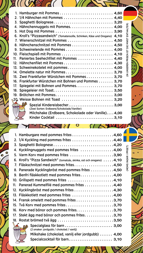|          | 4. Hähnchennuggets mit Pommes 4,00                                        |  |
|----------|---------------------------------------------------------------------------|--|
|          |                                                                           |  |
|          | 6. Kroll's "Pizzasandwich" (Tomatensoße, Schinken, Käse und Oregano) 4,10 |  |
|          | 7. Wienerschnitzel mit Pommes  4,50                                       |  |
|          | 8. Hähnchenschnitzel mit Pommes  4,50                                     |  |
|          | 9. Schweinelende mit Pommes 4,00                                          |  |
|          | 10. Fleischspieß mit Pommes  4,10                                         |  |
| $11_{-}$ | Paniertes Seehechfilet mit Pommes  4,40                                   |  |
|          | 12. Hähnchenfilet mit Pommes 4,30                                         |  |
|          | 13. Schweinekotelet mit pommes 4,00                                       |  |
|          | 14. Omelette natur mit Pommes 3,70                                        |  |
|          | 15. Zwei Frankfurter Würstchen mit Pommes 3,70                            |  |
|          | 16. Frankfurter Würstchen mit Bohnen und Pommes  3,70                     |  |
|          | 17. Spiegelei mit Bohnen und Pommes 3,70                                  |  |
|          |                                                                           |  |
|          |                                                                           |  |
|          | 120 Weisse Bohnen mit Toast  3,20                                         |  |
|          | Spezial Kindereisbecher3,00                                               |  |
|          | (Zwei Sorten: Erdbeere/Schokolade/Vaniller)<br>Fin                        |  |
|          | Milchshake (Erdbeere, Schokolade oder Vanille) 4,00                       |  |
|          |                                                                           |  |

 $($ 

 $\ddot{\phantom{0}}$ 

|     | 1. Hamburgare med pommes frites $\dots\dots\dots\dots\dots\dots\dots4,60$ |
|-----|---------------------------------------------------------------------------|
|     | 2. $1/4$ Kyckling med pommes frites 4,40                                  |
|     |                                                                           |
|     | 4. Kycklingnuggets med pommes frites 4,00                                 |
|     | 5. Varm Korv med pommes frites 3,90                                       |
|     | 6. Kroll's "Pizza Sandwich" (tomatsås, skinka, ost och oregano) 4,10      |
|     | 7. Fläskschnitzel med pommes frites4,50                                   |
|     | 8. Panerade Kycklingbröst med pommes frites 4,50                          |
|     | 9. Benfri fläskkotlett med pommes frites4,00                              |
|     | 10. Grillspett med pommes frites 4,10                                     |
| 11. | Panerad Kummelfilé med pommes frites 4,40                                 |
| 12. |                                                                           |
|     | 13. Fläskkotlett med pommes frites 4,00                                   |
|     | 14. Fransk omelett med pommes frites 3,70                                 |
|     | 15. Två Korv med pommes frites3,70                                        |
|     | 16. Korv med bönor och pommes frites3,70                                  |
|     | 17. Stekt ägg med bönor och pommes frites3,70                             |
|     | 18. Rostat brömed två ägg 3,50                                            |
|     | Specialglass för barn  3,00                                               |
|     | (2 smaker: jordgubb / chokolad / vanilj)<br>$\lambda$                     |
|     | Milkshake (chokolad, vanilj eller jordgubb)  4,00                         |
|     | Specialcocktail för barn 3,10                                             |

o

≯ I  $\mathcal{C}/$ 

(MOMS INGÅR I PPISET) (IN UNSEREN PRISEN IST DIE MWST ENTHALTER)(MOMS INGÅR I PPISET)

(IN UNSEREN PRISEN IST DIE MWST ENTHALTER)